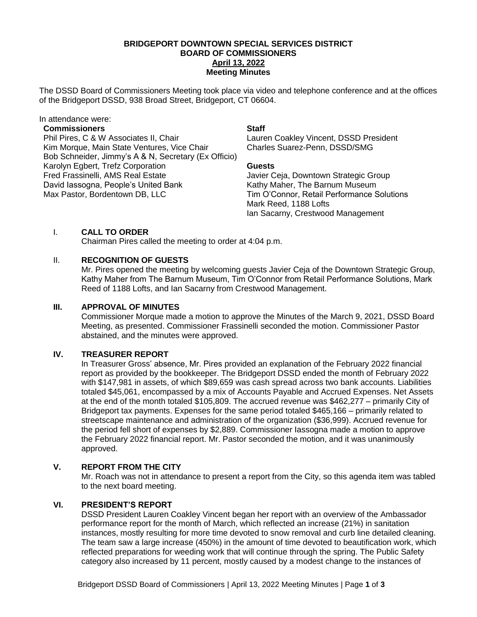#### **BRIDGEPORT DOWNTOWN SPECIAL SERVICES DISTRICT BOARD OF COMMISSIONERS April 13, 2022 Meeting Minutes**

The DSSD Board of Commissioners Meeting took place via video and telephone conference and at the offices of the Bridgeport DSSD, 938 Broad Street, Bridgeport, CT 06604.

# In attendance were:

## **Commissioners**

Phil Pires, C & W Associates II, Chair Kim Morque, Main State Ventures, Vice Chair Bob Schneider, Jimmy's A & N, Secretary (Ex Officio) Karolyn Egbert, Trefz Corporation Fred Frassinelli, AMS Real Estate David Iassogna, People's United Bank Max Pastor, Bordentown DB, LLC

### **Staff**

Lauren Coakley Vincent, DSSD President Charles Suarez-Penn, DSSD/SMG

# **Guests**

Javier Ceja, Downtown Strategic Group Kathy Maher, The Barnum Museum Tim O'Connor, Retail Performance Solutions Mark Reed, 1188 Lofts Ian Sacarny, Crestwood Management

# I. **CALL TO ORDER**

Chairman Pires called the meeting to order at 4:04 p.m.

# II. **RECOGNITION OF GUESTS**

Mr. Pires opened the meeting by welcoming guests Javier Ceja of the Downtown Strategic Group, Kathy Maher from The Barnum Museum, Tim O'Connor from Retail Performance Solutions, Mark Reed of 1188 Lofts, and Ian Sacarny from Crestwood Management.

# **III. APPROVAL OF MINUTES**

Commissioner Morque made a motion to approve the Minutes of the March 9, 2021, DSSD Board Meeting, as presented. Commissioner Frassinelli seconded the motion. Commissioner Pastor abstained, and the minutes were approved.

# **IV. TREASURER REPORT**

In Treasurer Gross' absence, Mr. Pires provided an explanation of the February 2022 financial report as provided by the bookkeeper. The Bridgeport DSSD ended the month of February 2022 with \$147,981 in assets, of which \$89,659 was cash spread across two bank accounts. Liabilities totaled \$45,061, encompassed by a mix of Accounts Payable and Accrued Expenses. Net Assets at the end of the month totaled \$105,809. The accrued revenue was \$462,277 – primarily City of Bridgeport tax payments. Expenses for the same period totaled \$465,166 – primarily related to streetscape maintenance and administration of the organization (\$36,999). Accrued revenue for the period fell short of expenses by \$2,889. Commissioner Iassogna made a motion to approve the February 2022 financial report. Mr. Pastor seconded the motion, and it was unanimously approved.

# **V. REPORT FROM THE CITY**

Mr. Roach was not in attendance to present a report from the City, so this agenda item was tabled to the next board meeting.

# **VI. PRESIDENT'S REPORT**

DSSD President Lauren Coakley Vincent began her report with an overview of the Ambassador performance report for the month of March, which reflected an increase (21%) in sanitation instances, mostly resulting for more time devoted to snow removal and curb line detailed cleaning. The team saw a large increase (450%) in the amount of time devoted to beautification work, which reflected preparations for weeding work that will continue through the spring. The Public Safety category also increased by 11 percent, mostly caused by a modest change to the instances of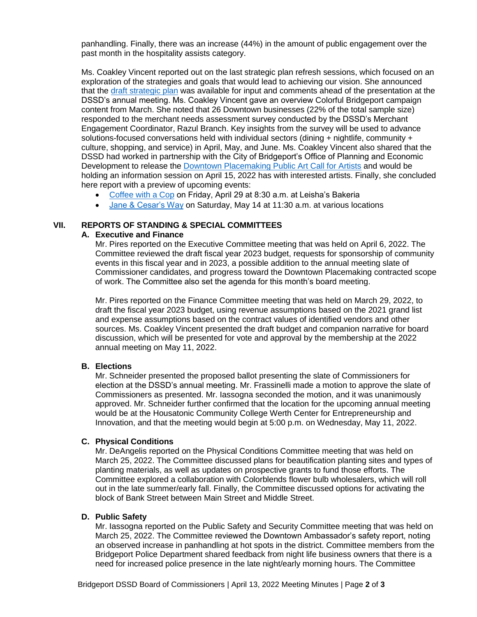panhandling. Finally, there was an increase (44%) in the amount of public engagement over the past month in the hospitality assists category.

Ms. Coakley Vincent reported out on the last strategic plan refresh sessions, which focused on an exploration of the strategies and goals that would lead to achieving our vision. She announced that the [draft strategic plan](https://docs.google.com/document/d/17aq1KZpCIqEsPku-Z127bifCQGfu9CHVVlGWXrkts4I/edit?usp=sharing) was available for input and comments ahead of the presentation at the DSSD's annual meeting. Ms. Coakley Vincent gave an overview Colorful Bridgeport campaign content from March. She noted that 26 Downtown businesses (22% of the total sample size) responded to the merchant needs assessment survey conducted by the DSSD's Merchant Engagement Coordinator, Razul Branch. Key insights from the survey will be used to advance solutions-focused conversations held with individual sectors (dining + nightlife, community + culture, shopping, and service) in April, May, and June. Ms. Coakley Vincent also shared that the DSSD had worked in partnership with the City of Bridgeport's Office of Planning and Economic Development to release the [Downtown Placemaking Public Art Call for Artists](https://infobridgeport.com/2022/03/25/call-for-artists-downtown-placemaking-public-art/) and would be holding an information session on April 15, 2022 has with interested artists. Finally, she concluded here report with a preview of upcoming events:

- [Coffee with a Cop](https://www.eventbrite.com/e/314591530737) on Friday, April 29 at 8:30 a.m. at Leisha's Bakeria
- [Jane & Cesar's Way](https://www.eventbrite.com/e/320345490987) on Saturday, May 14 at 11:30 a.m. at various locations

### **VII. REPORTS OF STANDING & SPECIAL COMMITTEES**

### **A. Executive and Finance**

Mr. Pires reported on the Executive Committee meeting that was held on April 6, 2022. The Committee reviewed the draft fiscal year 2023 budget, requests for sponsorship of community events in this fiscal year and in 2023, a possible addition to the annual meeting slate of Commissioner candidates, and progress toward the Downtown Placemaking contracted scope of work. The Committee also set the agenda for this month's board meeting.

Mr. Pires reported on the Finance Committee meeting that was held on March 29, 2022, to draft the fiscal year 2023 budget, using revenue assumptions based on the 2021 grand list and expense assumptions based on the contract values of identified vendors and other sources. Ms. Coakley Vincent presented the draft budget and companion narrative for board discussion, which will be presented for vote and approval by the membership at the 2022 annual meeting on May 11, 2022.

#### **B. Elections**

Mr. Schneider presented the proposed ballot presenting the slate of Commissioners for election at the DSSD's annual meeting. Mr. Frassinelli made a motion to approve the slate of Commissioners as presented. Mr. Iassogna seconded the motion, and it was unanimously approved. Mr. Schneider further confirmed that the location for the upcoming annual meeting would be at the Housatonic Community College Werth Center for Entrepreneurship and Innovation, and that the meeting would begin at 5:00 p.m. on Wednesday, May 11, 2022.

#### **C. Physical Conditions**

Mr. DeAngelis reported on the Physical Conditions Committee meeting that was held on March 25, 2022. The Committee discussed plans for beautification planting sites and types of planting materials, as well as updates on prospective grants to fund those efforts. The Committee explored a collaboration with Colorblends flower bulb wholesalers, which will roll out in the late summer/early fall. Finally, the Committee discussed options for activating the block of Bank Street between Main Street and Middle Street.

#### **D. Public Safety**

Mr. Iassogna reported on the Public Safety and Security Committee meeting that was held on March 25, 2022. The Committee reviewed the Downtown Ambassador's safety report, noting an observed increase in panhandling at hot spots in the district. Committee members from the Bridgeport Police Department shared feedback from night life business owners that there is a need for increased police presence in the late night/early morning hours. The Committee